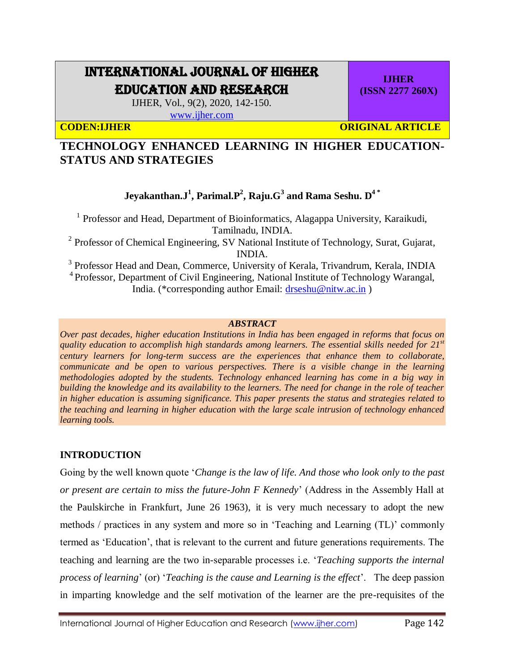# INTERNATIONAL JOURNAL OF HIGHER EDUCATION AND RESEARCH

IJHER, Vol., 9(2), 2020, 142-150.

[www.ijher.com](http://www.ijher.com/)

**CODEN:IJHER CODEN:IJHER** ORIGINAL ARTICLE

**IJHER (ISSN 2277 260X)**

# **TECHNOLOGY ENHANCED LEARNING IN HIGHER EDUCATION-STATUS AND STRATEGIES**

## **Jeyakanthan.J<sup>1</sup> , Parimal.P<sup>2</sup> , Raju.G<sup>3</sup> and Rama Seshu. D4 \***

<sup>1</sup> Professor and Head, Department of Bioinformatics, Alagappa University, Karaikudi, Tamilnadu, INDIA.

<sup>2</sup> Professor of Chemical Engineering, SV National Institute of Technology, Surat, Gujarat, INDIA.

<sup>3</sup> Professor Head and Dean, Commerce, University of Kerala, Trivandrum, Kerala, INDIA

<sup>4</sup> Professor, Department of Civil Engineering, National Institute of Technology Warangal, India. (\*corresponding author Email: [drseshu@nitw.ac.in](mailto:drseshu@nitw.ac.in) )

#### *ABSTRACT*

*Over past decades, higher education Institutions in India has been engaged in reforms that focus on quality education to accomplish high standards among learners. The essential skills needed for 21st century learners for long-term success are the experiences that enhance them to collaborate, communicate and be open to various perspectives. There is a visible change in the learning methodologies adopted by the students. Technology enhanced learning has come in a big way in building the knowledge and its availability to the learners. The need for change in the role of teacher in higher education is assuming significance. This paper presents the status and strategies related to the teaching and learning in higher education with the large scale intrusion of technology enhanced learning tools.* 

### **INTRODUCTION**

Going by the well known quote '*Change is the law of life. And those who look only to the past or present are certain to miss the future-John F Kennedy*' (Address in the Assembly Hall at the Paulskirche in Frankfurt, June 26 1963), it is very much necessary to adopt the new methods / practices in any system and more so in 'Teaching and Learning (TL)' commonly termed as 'Education', that is relevant to the current and future generations requirements. The teaching and learning are the two in-separable processes i.e. '*Teaching supports the internal process of learning*' (or) '*Teaching is the cause and Learning is the effect*'. The deep passion in imparting knowledge and the self motivation of the learner are the pre-requisites of the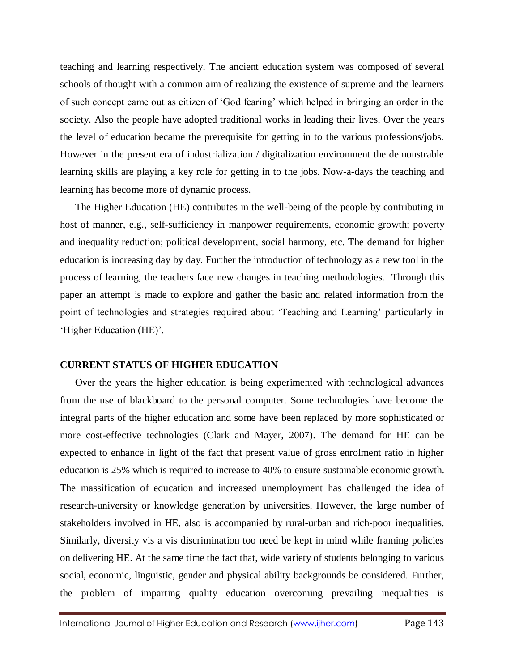teaching and learning respectively. The ancient education system was composed of several schools of thought with a common aim of realizing the existence of supreme and the learners of such concept came out as citizen of 'God fearing' which helped in bringing an order in the society. Also the people have adopted traditional works in leading their lives. Over the years the level of education became the prerequisite for getting in to the various professions/jobs. However in the present era of industrialization / digitalization environment the demonstrable learning skills are playing a key role for getting in to the jobs. Now-a-days the teaching and learning has become more of dynamic process.

The Higher Education (HE) contributes in the well-being of the people by contributing in host of manner, e.g., self-sufficiency in manpower requirements, economic growth; poverty and inequality reduction; political development, social harmony, etc. The demand for higher education is increasing day by day. Further the introduction of technology as a new tool in the process of learning, the teachers face new changes in teaching methodologies. Through this paper an attempt is made to explore and gather the basic and related information from the point of technologies and strategies required about 'Teaching and Learning' particularly in 'Higher Education (HE)'.

#### **CURRENT STATUS OF HIGHER EDUCATION**

Over the years the higher education is being experimented with technological advances from the use of blackboard to the personal computer. Some technologies have become the integral parts of the higher education and some have been replaced by more sophisticated or more cost-effective technologies (Clark and Mayer, 2007). The demand for HE can be expected to enhance in light of the fact that present value of gross enrolment ratio in higher education is 25% which is required to increase to 40% to ensure sustainable economic growth. The massification of education and increased unemployment has challenged the idea of research-university or knowledge generation by universities. However, the large number of stakeholders involved in HE, also is accompanied by rural-urban and rich-poor inequalities. Similarly, diversity vis a vis discrimination too need be kept in mind while framing policies on delivering HE. At the same time the fact that, wide variety of students belonging to various social, economic, linguistic, gender and physical ability backgrounds be considered. Further, the problem of imparting quality education overcoming prevailing inequalities is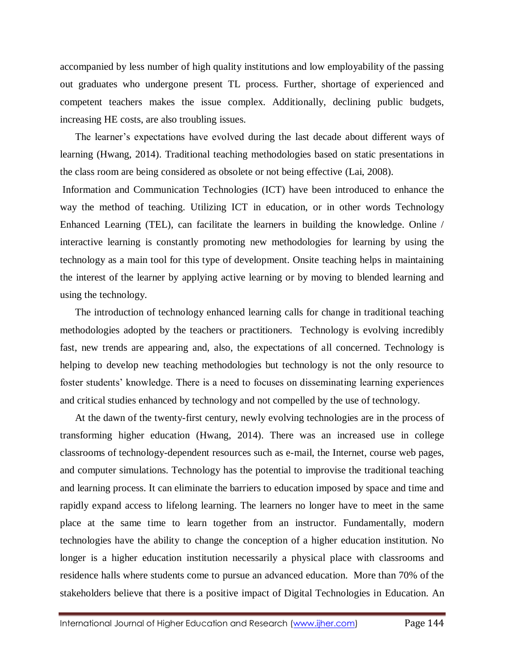accompanied by less number of high quality institutions and low employability of the passing out graduates who undergone present TL process. Further, shortage of experienced and competent teachers makes the issue complex. Additionally, declining public budgets, increasing HE costs, are also troubling issues.

The learner's expectations have evolved during the last decade about different ways of learning (Hwang, 2014). Traditional teaching methodologies based on static presentations in the class room are being considered as obsolete or not being effective (Lai, 2008).

Information and Communication Technologies (ICT) have been introduced to enhance the way the method of teaching. Utilizing ICT in education, or in other words Technology Enhanced Learning (TEL), can facilitate the learners in building the knowledge. Online / interactive learning is constantly promoting new methodologies for learning by using the technology as a main tool for this type of development. Onsite teaching helps in maintaining the interest of the learner by applying active learning or by moving to blended learning and using the technology.

The introduction of technology enhanced learning calls for change in traditional teaching methodologies adopted by the teachers or practitioners. Technology is evolving incredibly fast, new trends are appearing and, also, the expectations of all concerned. Technology is helping to develop new teaching methodologies but technology is not the only resource to foster students' knowledge. There is a need to focuses on disseminating learning experiences and critical studies enhanced by technology and not compelled by the use of technology.

At the dawn of the twenty-first century, newly evolving technologies are in the process of transforming higher education (Hwang, 2014). There was an increased use in college classrooms of technology-dependent resources such as e-mail, the Internet, course web pages, and computer simulations. Technology has the potential to improvise the traditional teaching and learning process. It can eliminate the barriers to education imposed by space and time and rapidly expand access to lifelong learning. The learners no longer have to meet in the same place at the same time to learn together from an instructor. Fundamentally, modern technologies have the ability to change the conception of a higher education institution. No longer is a higher education institution necessarily a physical place with classrooms and residence halls where students come to pursue an advanced education. More than 70% of the stakeholders believe that there is a positive impact of Digital Technologies in Education. An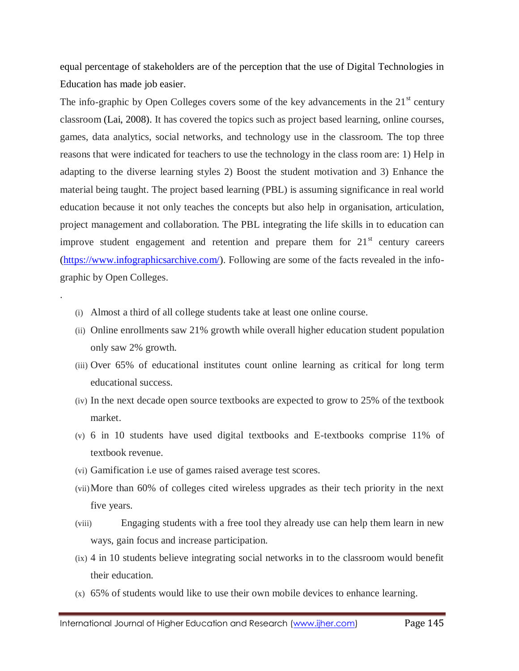equal percentage of stakeholders are of the perception that the use of Digital Technologies in Education has made job easier.

The info-graphic by Open Colleges covers some of the key advancements in the  $21<sup>st</sup>$  century classroom (Lai, 2008). It has covered the topics such as project based learning, online courses, games, data analytics, social networks, and technology use in the classroom. The top three reasons that were indicated for teachers to use the technology in the class room are: 1) Help in adapting to the diverse learning styles 2) Boost the student motivation and 3) Enhance the material being taught. The project based learning (PBL) is assuming significance in real world education because it not only teaches the concepts but also help in organisation, articulation, project management and collaboration. The PBL integrating the life skills in to education can improve student engagement and retention and prepare them for  $21<sup>st</sup>$  century careers [\(https://www.infographicsarchive.com/\)](https://www.infographicsarchive.com/). Following are some of the facts revealed in the infographic by Open Colleges.

(i) Almost a third of all college students take at least one online course.

.

- (ii) Online enrollments saw 21% growth while overall higher education student population only saw 2% growth.
- (iii) Over 65% of educational institutes count online learning as critical for long term educational success.
- (iv) In the next decade open source textbooks are expected to grow to 25% of the textbook market.
- (v) 6 in 10 students have used digital textbooks and E-textbooks comprise 11% of textbook revenue.
- (vi) Gamification i.e use of games raised average test scores.
- (vii)More than 60% of colleges cited wireless upgrades as their tech priority in the next five years.
- (viii) Engaging students with a free tool they already use can help them learn in new ways, gain focus and increase participation.
- (ix) 4 in 10 students believe integrating social networks in to the classroom would benefit their education.
- (x) 65% of students would like to use their own mobile devices to enhance learning.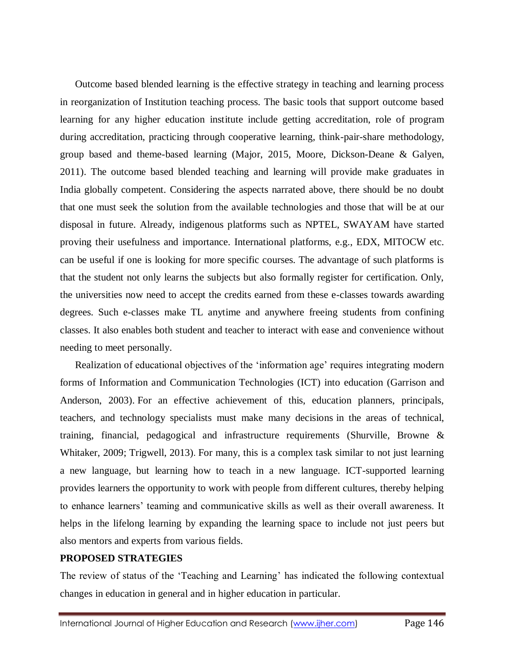Outcome based blended learning is the effective strategy in teaching and learning process in reorganization of Institution teaching process. The basic tools that support outcome based learning for any higher education institute include getting accreditation, role of program during accreditation, practicing through cooperative learning, think-pair-share methodology, group based and theme-based learning (Major, 2015, Moore, Dickson-Deane & Galyen, 2011). The outcome based blended teaching and learning will provide make graduates in India globally competent. Considering the aspects narrated above, there should be no doubt that one must seek the solution from the available technologies and those that will be at our disposal in future. Already, indigenous platforms such as NPTEL, SWAYAM have started proving their usefulness and importance. International platforms, e.g., EDX, MITOCW etc. can be useful if one is looking for more specific courses. The advantage of such platforms is that the student not only learns the subjects but also formally register for certification. Only, the universities now need to accept the credits earned from these e-classes towards awarding degrees. Such e-classes make TL anytime and anywhere freeing students from confining classes. It also enables both student and teacher to interact with ease and convenience without needing to meet personally.

Realization of educational objectives of the 'information age' requires integrating modern forms of Information and Communication Technologies (ICT) into education (Garrison and Anderson, 2003). For an effective achievement of this, education planners, principals, teachers, and technology specialists must make many decisions in the areas of technical, training, financial, pedagogical and infrastructure requirements (Shurville, Browne & Whitaker, 2009; Trigwell, 2013). For many, this is a complex task similar to not just learning a new language, but learning how to teach in a new language. ICT-supported learning provides learners the opportunity to work with people from different cultures, thereby helping to enhance learners' teaming and communicative skills as well as their overall awareness. It helps in the lifelong learning by expanding the learning space to include not just peers but also mentors and experts from various fields.

#### **PROPOSED STRATEGIES**

The review of status of the 'Teaching and Learning' has indicated the following contextual changes in education in general and in higher education in particular.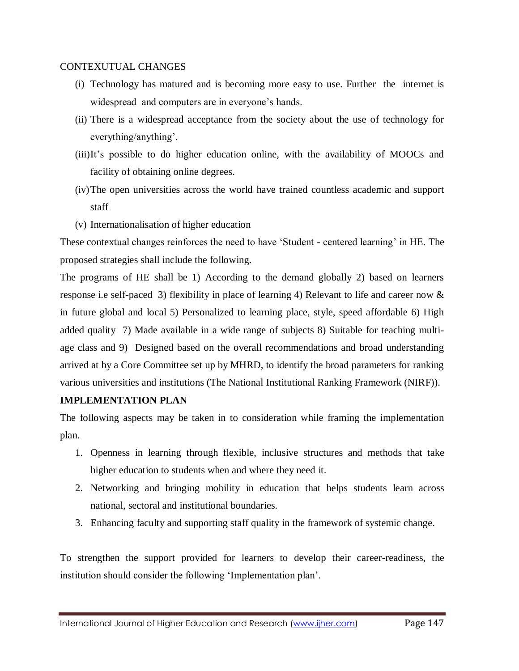#### CONTEXUTUAL CHANGES

- (i) Technology has matured and is becoming more easy to use. Further the internet is widespread and computers are in everyone's hands.
- (ii) There is a widespread acceptance from the society about the use of technology for everything/anything'.
- (iii)It's possible to do higher education online, with the availability of MOOCs and facility of obtaining online degrees.
- (iv)The open universities across the world have trained countless academic and support staff
- (v) Internationalisation of higher education

These contextual changes reinforces the need to have 'Student - centered learning' in HE. The proposed strategies shall include the following.

The programs of HE shall be 1) According to the demand globally 2) based on learners response i.e self-paced 3) flexibility in place of learning 4) Relevant to life and career now & in future global and local 5) Personalized to learning place, style, speed affordable 6) High added quality 7) Made available in a wide range of subjects 8) Suitable for teaching multiage class and 9) Designed based on the overall recommendations and broad understanding arrived at by a Core Committee set up by MHRD, to identify the broad parameters for ranking various universities and institutions (The National Institutional Ranking Framework (NIRF)).

### **IMPLEMENTATION PLAN**

The following aspects may be taken in to consideration while framing the implementation plan.

- 1. Openness in learning through flexible, inclusive structures and methods that take higher education to students when and where they need it.
- 2. Networking and bringing mobility in education that helps students learn across national, sectoral and institutional boundaries.
- 3. Enhancing faculty and supporting staff quality in the framework of systemic change.

To strengthen the support provided for learners to develop their career-readiness, the institution should consider the following 'Implementation plan'.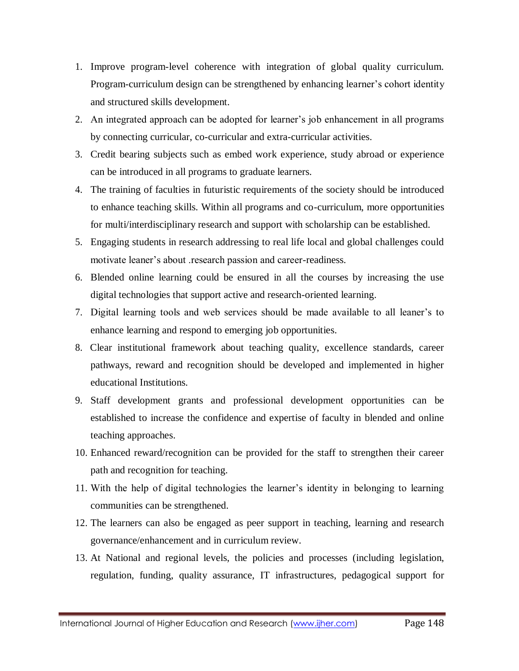- 1. Improve program-level coherence with integration of global quality curriculum. Program-curriculum design can be strengthened by enhancing learner's cohort identity and structured skills development.
- 2. An integrated approach can be adopted for learner's job enhancement in all programs by connecting curricular, co-curricular and extra-curricular activities.
- 3. Credit bearing subjects such as embed work experience, study abroad or experience can be introduced in all programs to graduate learners.
- 4. The training of faculties in futuristic requirements of the society should be introduced to enhance teaching skills. Within all programs and co-curriculum, more opportunities for multi/interdisciplinary research and support with scholarship can be established.
- 5. Engaging students in research addressing to real life local and global challenges could motivate leaner's about .research passion and career-readiness.
- 6. Blended online learning could be ensured in all the courses by increasing the use digital technologies that support active and research-oriented learning.
- 7. Digital learning tools and web services should be made available to all leaner's to enhance learning and respond to emerging job opportunities.
- 8. Clear institutional framework about teaching quality, excellence standards, career pathways, reward and recognition should be developed and implemented in higher educational Institutions.
- 9. Staff development grants and professional development opportunities can be established to increase the confidence and expertise of faculty in blended and online teaching approaches.
- 10. Enhanced reward/recognition can be provided for the staff to strengthen their career path and recognition for teaching.
- 11. With the help of digital technologies the learner's identity in belonging to learning communities can be strengthened.
- 12. The learners can also be engaged as peer support in teaching, learning and research governance/enhancement and in curriculum review.
- 13. At National and regional levels, the policies and processes (including legislation, regulation, funding, quality assurance, IT infrastructures, pedagogical support for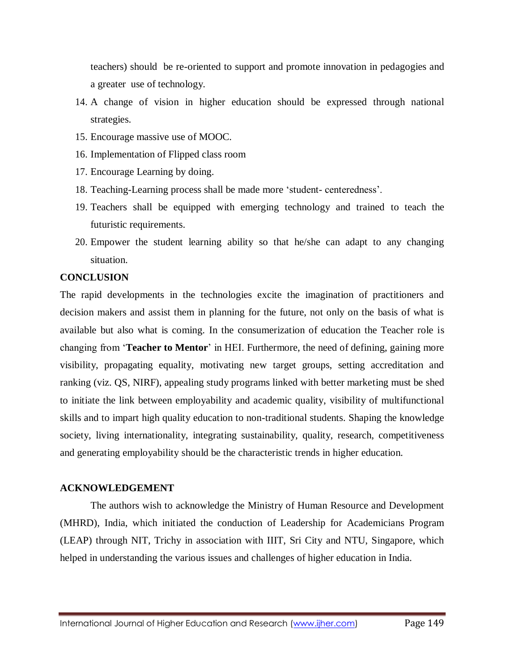teachers) should be re-oriented to support and promote innovation in pedagogies and a greater use of technology.

- 14. A change of vision in higher education should be expressed through national strategies.
- 15. Encourage massive use of MOOC.
- 16. Implementation of Flipped class room
- 17. Encourage Learning by doing.
- 18. Teaching-Learning process shall be made more 'student- centeredness'.
- 19. Teachers shall be equipped with emerging technology and trained to teach the futuristic requirements.
- 20. Empower the student learning ability so that he/she can adapt to any changing situation.

#### **CONCLUSION**

The rapid developments in the technologies excite the imagination of practitioners and decision makers and assist them in planning for the future, not only on the basis of what is available but also what is coming. In the consumerization of education the Teacher role is changing from '**Teacher to Mentor**' in HEI. Furthermore, the need of defining, gaining more visibility, propagating equality, motivating new target groups, setting accreditation and ranking (viz. QS, NIRF), appealing study programs linked with better marketing must be shed to initiate the link between employability and academic quality, visibility of multifunctional skills and to impart high quality education to non-traditional students. Shaping the knowledge society, living internationality, integrating sustainability, quality, research, competitiveness and generating employability should be the characteristic trends in higher education.

#### **ACKNOWLEDGEMENT**

The authors wish to acknowledge the Ministry of Human Resource and Development (MHRD), India, which initiated the conduction of Leadership for Academicians Program (LEAP) through NIT, Trichy in association with IIIT, Sri City and NTU, Singapore, which helped in understanding the various issues and challenges of higher education in India.